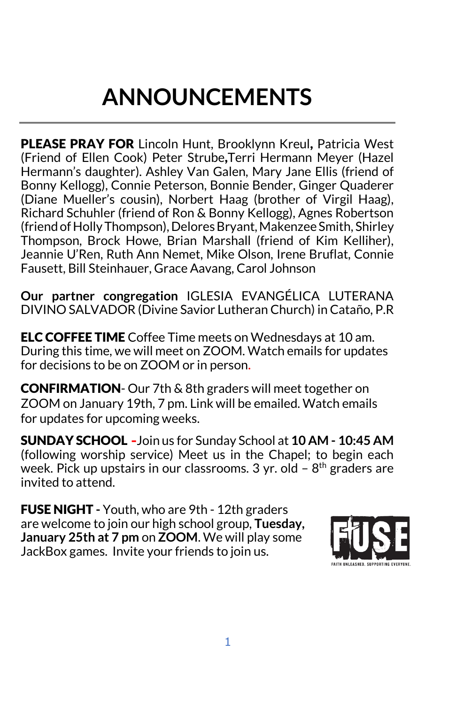# **ANNOUNCEMENTS**

PLEASE PRAY FOR Lincoln Hunt, Brooklynn Kreul, Patricia West (Friend of Ellen Cook) Peter Strube,Terri Hermann Meyer (Hazel Hermann's daughter). Ashley Van Galen, Mary Jane Ellis (friend of Bonny Kellogg), Connie Peterson, Bonnie Bender, Ginger Quaderer (Diane Mueller's cousin), Norbert Haag (brother of Virgil Haag), Richard Schuhler (friend of Ron & Bonny Kellogg), Agnes Robertson (friend of Holly Thompson), Delores Bryant, Makenzee Smith, Shirley Thompson, Brock Howe, Brian Marshall (friend of Kim Kelliher), Jeannie U'Ren, Ruth Ann Nemet, Mike Olson, Irene Bruflat, Connie Fausett, Bill Steinhauer, Grace Aavang, Carol Johnson

**Our partner congregation** IGLESIA EVANGÉLICA LUTERANA DIVINO SALVADOR (Divine Savior Lutheran Church) in Cataño, P.R

ELC COFFEE TIME Coffee Time meets on Wednesdays at 10 am. During this time, we will meet on ZOOM. Watch emails for updates for decisions to be on ZOOM or in person.

CONFIRMATION- Our 7th & 8th graders will meet together on ZOOM on January 19th, 7 pm. Link will be emailed. Watch emails for updates for upcoming weeks.

SUNDAY SCHOOL **-**Join us for Sunday School at **10 AM - 10:45 AM** (following worship service) Meet us in the Chapel; to begin each week. Pick up upstairs in our classrooms.  $3$  yr. old –  $8<sup>th</sup>$  graders are invited to attend.

FUSE NIGHT **-** Youth, who are 9th - 12th graders are welcome to join our high school group, **Tuesday, January 25th at 7 pm** on **ZOOM**. We will play some JackBox games. Invite your friends to join us.

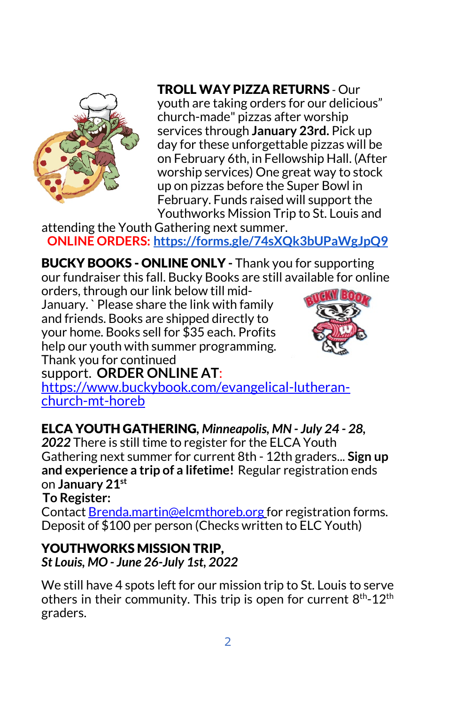

### TROLL WAY PIZZA RETURNS - Our

youth are taking orders for our delicious" church-made" pizzas after worship services through **January 23rd.** Pick up day for these unforgettable pizzas will be on February 6th, in Fellowship Hall. (After worship services) One great way to stock up on pizzas before the Super Bowl in February. Funds raised will support the Youthworks Mission Trip to St. Louis and

attending the Youth Gathering next summer. **ONLINE ORDERS: [https://forms.gle/74sXQk3bUPaWgJpQ9](about:blank)**

BUCKY BOOKS - ONLINE ONLY **-** Thank you for supporting our fundraiser this fall. Bucky Books are still available for online

orders, through our link below till mid-January. ` Please share the link with family and friends. Books are shipped directly to your home. Books sell for \$35 each. Profits help our youth with summer programming. Thank you for continued



support. **ORDER ONLINE AT**[:](about:blank) [https://www.buckybook.com/evangelical-lutheran-](about:blank) [church-mt-horeb](about:blank)

ELCA YOUTH GATHERING*, Minneapolis, MN - July 24 - 28,* 

*2022* There is still time to register for the ELCA Youth Gathering next summer for current 8th - 12th graders... **Sign up and experience a trip of a lifetime!** Regular registration ends on **January 21st**

**To Register:**

Contact [Brenda.martin@elcmthoreb.org](about:blank) for registration forms. Deposit of \$100 per person (Checks written to ELC Youth)

YOUTHWORKS MISSION TRIP, *St Louis, MO - June 26-July 1st, 2022*

We still have 4 spots left for our mission trip to St. Louis to serve others in their community. This trip is open for current 8<sup>th</sup>-12<sup>th</sup> graders.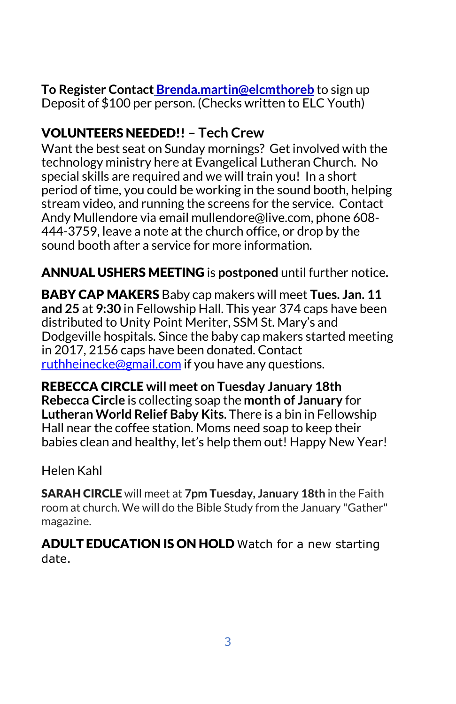#### **To Register Contact [Brenda.martin@elcmthoreb](about:blank)** to sign up Deposit of \$100 per person. (Checks written to ELC Youth)

## VOLUNTEERS NEEDED!! **– Tech Crew**

Want the best seat on Sunday mornings? Get involved with the technology ministry here at Evangelical Lutheran Church. No special skills are required and we will train you! In a short period of time, you could be working in the sound booth, helping stream video, and running the screens for the service. Contact Andy Mullendore via email mullendore@live.com, phone 608- 444-3759, leave a note at the church office, or drop by the sound booth after a service for more information.

#### ANNUAL USHERS MEETING is **postponed** until further notice**.**

BABY CAP MAKERS Baby cap makers will meet **Tues. Jan. 11 and 25** at **9:30** in Fellowship Hall. This year 374 caps have been distributed to Unity Point Meriter, SSM St. Mary's and Dodgeville hospitals. Since the baby cap makers started meeting in 2017, 2156 caps have been donated. Contact [ruthheinecke@gmail.com](about:blank) if you have any questions.

REBECCA CIRCLE **will meet on Tuesday January 18th Rebecca Circle** is collecting soap the **month of January** for **Lutheran World Relief Baby Kits**. There is a bin in Fellowship Hall near the coffee station. Moms need soap to keep their babies clean and healthy, let's help them out! Happy New Year!

Helen Kahl

SARAH CIRCLE will meet at **7pm Tuesday, January 18th** in the Faith room at church. We will do the Bible Study from the January "Gather" magazine.

ADULT EDUCATION IS ON HOLD Watch for a new starting date.